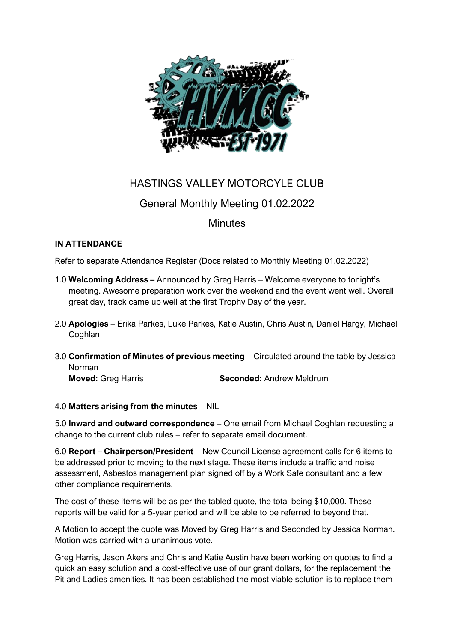

# HASTINGS VALLEY MOTORCYLE CLUB

## General Monthly Meeting 01.02.2022

## **Minutes**

### **IN ATTENDANCE**

Refer to separate Attendance Register (Docs related to Monthly Meeting 01.02.2022)

- 1.0 **Welcoming Address –** Announced by Greg Harris Welcome everyone to tonight's meeting. Awesome preparation work over the weekend and the event went well. Overall great day, track came up well at the first Trophy Day of the year.
- 2.0 **Apologies** Erika Parkes, Luke Parkes, Katie Austin, Chris Austin, Daniel Hargy, Michael **Coghlan**
- 3.0 **Confirmation of Minutes of previous meeting** Circulated around the table by Jessica Norman

**Moved:** Greg Harris **Seconded:** Andrew Meldrum

### 4.0 **Matters arising from the minutes** – NIL

5.0 **Inward and outward correspondence** – One email from Michael Coghlan requesting a change to the current club rules – refer to separate email document.

6.0 **Report – Chairperson/President** – New Council License agreement calls for 6 items to be addressed prior to moving to the next stage. These items include a traffic and noise assessment, Asbestos management plan signed off by a Work Safe consultant and a few other compliance requirements.

The cost of these items will be as per the tabled quote, the total being \$10,000. These reports will be valid for a 5-year period and will be able to be referred to beyond that.

A Motion to accept the quote was Moved by Greg Harris and Seconded by Jessica Norman. Motion was carried with a unanimous vote.

Greg Harris, Jason Akers and Chris and Katie Austin have been working on quotes to find a quick an easy solution and a cost-effective use of our grant dollars, for the replacement the Pit and Ladies amenities. It has been established the most viable solution is to replace them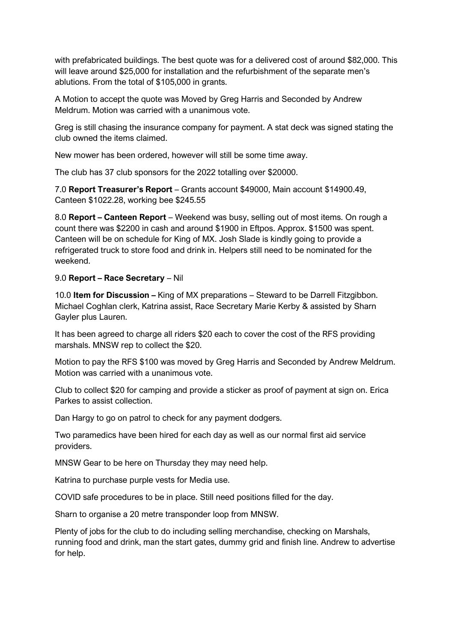with prefabricated buildings. The best quote was for a delivered cost of around \$82,000. This will leave around \$25,000 for installation and the refurbishment of the separate men's ablutions. From the total of \$105,000 in grants.

A Motion to accept the quote was Moved by Greg Harris and Seconded by Andrew Meldrum. Motion was carried with a unanimous vote.

Greg is still chasing the insurance company for payment. A stat deck was signed stating the club owned the items claimed.

New mower has been ordered, however will still be some time away.

The club has 37 club sponsors for the 2022 totalling over \$20000.

7.0 **Report Treasurer's Report** – Grants account \$49000, Main account \$14900.49, Canteen \$1022.28, working bee \$245.55

8.0 **Report – Canteen Report** – Weekend was busy, selling out of most items. On rough a count there was \$2200 in cash and around \$1900 in Eftpos. Approx. \$1500 was spent. Canteen will be on schedule for King of MX. Josh Slade is kindly going to provide a refrigerated truck to store food and drink in. Helpers still need to be nominated for the weekend.

#### 9.0 **Report – Race Secretary** – Nil

10.0 **Item for Discussion –** King of MX preparations – Steward to be Darrell Fitzgibbon. Michael Coghlan clerk, Katrina assist, Race Secretary Marie Kerby & assisted by Sharn Gayler plus Lauren.

It has been agreed to charge all riders \$20 each to cover the cost of the RFS providing marshals. MNSW rep to collect the \$20.

Motion to pay the RFS \$100 was moved by Greg Harris and Seconded by Andrew Meldrum. Motion was carried with a unanimous vote.

Club to collect \$20 for camping and provide a sticker as proof of payment at sign on. Erica Parkes to assist collection.

Dan Hargy to go on patrol to check for any payment dodgers.

Two paramedics have been hired for each day as well as our normal first aid service providers.

MNSW Gear to be here on Thursday they may need help.

Katrina to purchase purple vests for Media use.

COVID safe procedures to be in place. Still need positions filled for the day.

Sharn to organise a 20 metre transponder loop from MNSW.

Plenty of jobs for the club to do including selling merchandise, checking on Marshals, running food and drink, man the start gates, dummy grid and finish line. Andrew to advertise for help.